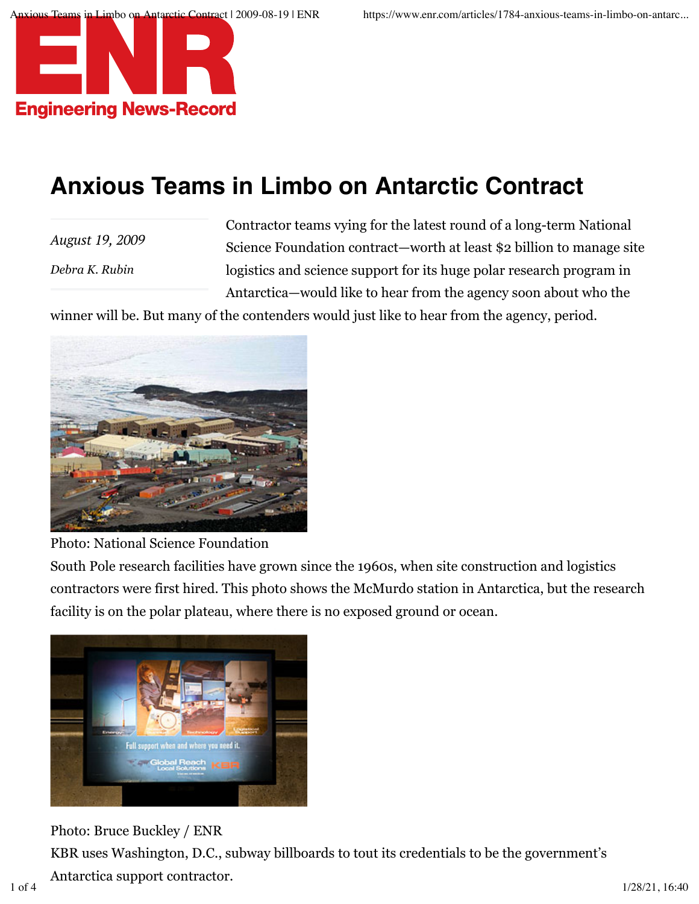

## **Anxious Teams in Limbo on Antarctic Contract**

*August 19, 2009 Debra K. Rubin*

Contractor teams vying for the latest round of a long-term National Science Foundation contract—worth at least \$2 billion to manage site logistics and science support for its huge polar research program in Antarctica—would like to hear from the agency soon about who the

winner will be. But many of the contenders would just like to hear from the agency, period.



Photo: National Science Foundation

South Pole research facilities have grown since the 1960s, when site construction and logistics contractors were first hired. This photo shows the McMurdo station in Antarctica, but the research facility is on the polar plateau, where there is no exposed ground or ocean.



Photo: Bruce Buckley / ENR KBR uses Washington, D.C., subway billboards to tout its credentials to be the government's Antarctica support contractor. 1 of 4 1/28/21, 16:40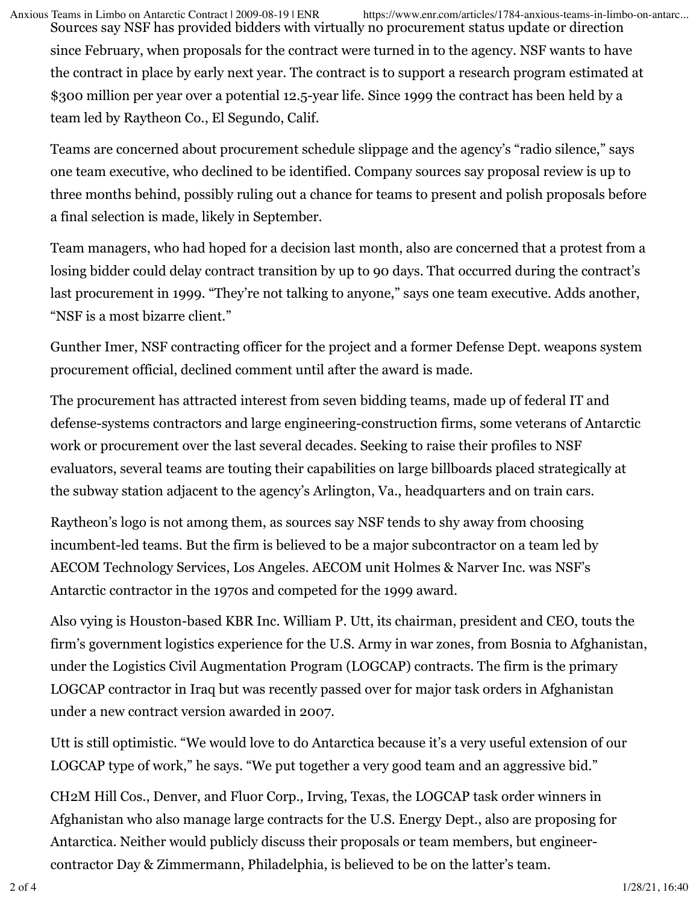Sources say NSF has provided bidders with virtually no procurement status update or direction Anxious Teams in Limbo on Antarctic Contract | 2009-08-19 | ENR https://www.enr.com/articles/1784-anxious-teams-in-limbo-on-antarc...

since February, when proposals for the contract were turned in to the agency. NSF wants to have the contract in place by early next year. The contract is to support a research program estimated at \$300 million per year over a potential 12.5-year life. Since 1999 the contract has been held by a team led by Raytheon Co., El Segundo, Calif.

Teams are concerned about procurement schedule slippage and the agency's "radio silence," says one team executive, who declined to be identified. Company sources say proposal review is up to three months behind, possibly ruling out a chance for teams to present and polish proposals before a final selection is made, likely in September.

Team managers, who had hoped for a decision last month, also are concerned that a protest from a losing bidder could delay contract transition by up to 90 days. That occurred during the contract's last procurement in 1999. "They're not talking to anyone," says one team executive. Adds another, "NSF is a most bizarre client."

Gunther Imer, NSF contracting officer for the project and a former Defense Dept. weapons system procurement official, declined comment until after the award is made.

The procurement has attracted interest from seven bidding teams, made up of federal IT and defense-systems contractors and large engineering-construction firms, some veterans of Antarctic work or procurement over the last several decades. Seeking to raise their profiles to NSF evaluators, several teams are touting their capabilities on large billboards placed strategically at the subway station adjacent to the agency's Arlington, Va., headquarters and on train cars.

Raytheon's logo is not among them, as sources say NSF tends to shy away from choosing incumbent-led teams. But the firm is believed to be a major subcontractor on a team led by AECOM Technology Services, Los Angeles. AECOM unit Holmes & Narver Inc. was NSF's Antarctic contractor in the 1970s and competed for the 1999 award.

Also vying is Houston-based KBR Inc. William P. Utt, its chairman, president and CEO, touts the firm's government logistics experience for the U.S. Army in war zones, from Bosnia to Afghanistan, under the Logistics Civil Augmentation Program (LOGCAP) contracts. The firm is the primary LOGCAP contractor in Iraq but was recently passed over for major task orders in Afghanistan under a new contract version awarded in 2007.

Utt is still optimistic. "We would love to do Antarctica because it's a very useful extension of our LOGCAP type of work," he says. "We put together a very good team and an aggressive bid."

CH2M Hill Cos., Denver, and Fluor Corp., Irving, Texas, the LOGCAP task order winners in Afghanistan who also manage large contracts for the U.S. Energy Dept., also are proposing for Antarctica. Neither would publicly discuss their proposals or team members, but engineercontractor Day & Zimmermann, Philadelphia, is believed to be on the latter's team.